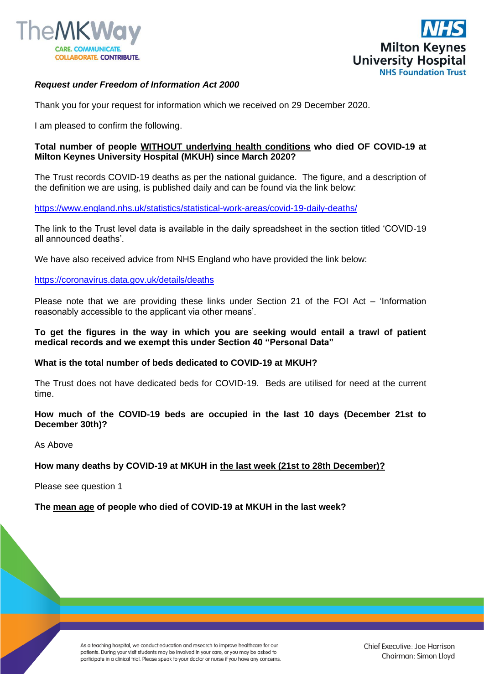



# *Request under Freedom of Information Act 2000*

Thank you for your request for information which we received on 29 December 2020.

I am pleased to confirm the following.

## **Total number of people WITHOUT underlying health conditions who died OF COVID-19 at Milton Keynes University Hospital (MKUH) since March 2020?**

The Trust records COVID-19 deaths as per the national guidance. The figure, and a description of the definition we are using, is published daily and can be found via the link below:

[https://www.england.nhs.uk/statistics/statistical-work-areas/covid-19-daily-deaths/](https://gbr01.safelinks.protection.outlook.com/?url=https%3A%2F%2Fwww.england.nhs.uk%2Fstatistics%2Fstatistical-work-areas%2Fcovid-19-daily-deaths%2F&data=04|01|Foi.PublicationSchemeCo-ordinator%40mkuh.nhs.uk|ba8ee65e01524be721f808d8acb44587|e96dd0a15d474a949e4a5c1056daa82c|0|0|637449237546877254|Unknown|TWFpbGZsb3d8eyJWIjoiMC4wLjAwMDAiLCJQIjoiV2luMzIiLCJBTiI6Ik1haWwiLCJXVCI6Mn0%3D|1000&sdata=tQrQ18Ye%2FOq6tOvxn6FgOk66fLKAp6Fwn8InSrNYFKw%3D&reserved=0)

The link to the Trust level data is available in the daily spreadsheet in the section titled 'COVID-19 all announced deaths'.

We have also received advice from NHS England who have provided the link below:

[https://coronavirus.data.gov.uk/details/deaths](https://gbr01.safelinks.protection.outlook.com/?url=https%3A%2F%2Fcoronavirus.data.gov.uk%2Fdetails%2Fdeaths&data=04|01|Foi.PublicationSchemeCo-ordinator%40mkuh.nhs.uk|ba8ee65e01524be721f808d8acb44587|e96dd0a15d474a949e4a5c1056daa82c|0|0|637449237546877254|Unknown|TWFpbGZsb3d8eyJWIjoiMC4wLjAwMDAiLCJQIjoiV2luMzIiLCJBTiI6Ik1haWwiLCJXVCI6Mn0%3D|1000&sdata=I3uixc%2FYjFXhBwbns0ROhHvM0LwVSciQ1vYHG5SothY%3D&reserved=0)

Please note that we are providing these links under Section 21 of the FOI Act – 'Information reasonably accessible to the applicant via other means'.

## **To get the figures in the way in which you are seeking would entail a trawl of patient medical records and we exempt this under Section 40 "Personal Data"**

#### **What is the total number of beds dedicated to COVID-19 at MKUH?**

The Trust does not have dedicated beds for COVID-19. Beds are utilised for need at the current time.

## **How much of the COVID-19 beds are occupied in the last 10 days (December 21st to December 30th)?**

As Above

## **How many deaths by COVID-19 at MKUH in the last week (21st to 28th December)?**

Please see question 1

#### **The mean age of people who died of COVID-19 at MKUH in the last week?**

As a teaching hospital, we conduct education and research to improve healthcare for our patients. During your visit students may be involved in your care, or you may be asked to participate in a clinical trial. Please speak to your doctor or nurse if you have any concerns.